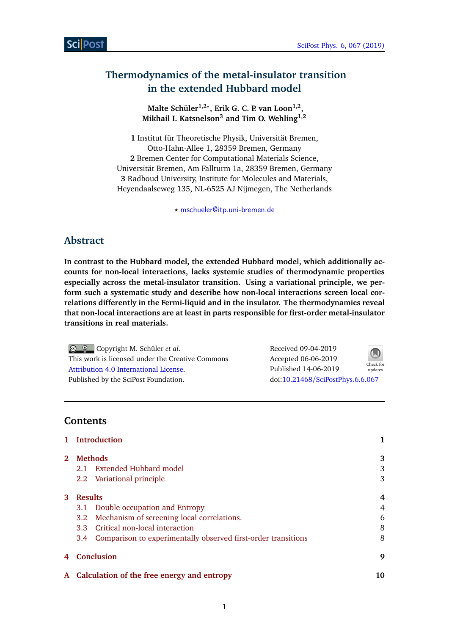# **Thermodynamics of the metal-insulator transition in the extended Hubbard model**

**Malte Schüler1,2***?* **, Erik G. C. P. van Loon1,2 , Mikhail I. Katsnelson<sup>3</sup> and Tim O. Wehling1,2**

**1** Institut für Theoretische Physik, Universität Bremen, Otto-Hahn-Allee 1, 28359 Bremen, Germany **2** Bremen Center for Computational Materials Science, Universität Bremen, Am Fallturm 1a, 28359 Bremen, Germany **3** Radboud University, Institute for Molecules and Materials, Heyendaalseweg 135, NL-6525 AJ Nijmegen, The Netherlands

*?* [mschueler@itp.uni-bremen.de](mailto:mschueler@itp.uni-bremen.de)

## **Abstract**

**In contrast to the Hubbard model, the extended Hubbard model, which additionally accounts for non-local interactions, lacks systemic studies of thermodynamic properties especially across the metal-insulator transition. Using a variational principle, we perform such a systematic study and describe how non-local interactions screen local correlations differently in the Fermi-liquid and in the insulator. The thermodynamics reveal that non-local interactions are at least in parts responsible for first-order metal-insulator transitions in real materials.**

Copyright M. Schüler *et al*. This work is licensed under the Creative Commons [Attribution 4.0 International License.](http://creativecommons.org/licenses/by/4.0/) Published by the SciPost Foundation.

Received 09-04-2019 Accepted 06-06-2019 Published 14-06-2019 Check for updates doi:10.21468/[SciPostPhys.6.6.067](http://dx.doi.org/10.21468/SciPostPhys.6.6.067)



**Contents**

|              | <b>Introduction</b>                                               |        |
|--------------|-------------------------------------------------------------------|--------|
| $\mathbf{2}$ | <b>Methods</b>                                                    |        |
|              | 2.1 Extended Hubbard model                                        | 3      |
|              | 2.2 Variational principle                                         | 3      |
| 3            | <b>Results</b>                                                    |        |
|              | 3.1 Double occupation and Entropy                                 | 4      |
|              | 3.2 Mechanism of screening local correlations.                    | 6      |
|              | 3.3 Critical non-local interaction                                | 8      |
|              | 3.4 Comparison to experimentally observed first-order transitions | 8      |
| 4            | Conclusion                                                        | 9      |
|              |                                                                   | $\sim$ |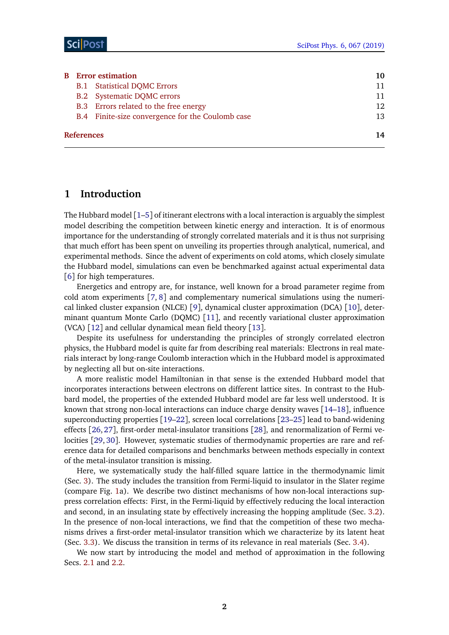| <b>B</b> Error estimation |                                                  |     |  |  |
|---------------------------|--------------------------------------------------|-----|--|--|
|                           | <b>B.1</b> Statistical DQMC Errors               | 11  |  |  |
|                           | <b>B.2</b> Systematic DQMC errors                | 11  |  |  |
|                           | B.3 Errors related to the free energy            | 12. |  |  |
|                           | B.4 Finite-size convergence for the Coulomb case | 13  |  |  |
| References                |                                                  |     |  |  |

## <span id="page-1-0"></span>**1 Introduction**

The Hubbard model [[1](#page-13-0)[–5](#page-13-1)] of itinerant electrons with a local interaction is arguably the simplest model describing the competition between kinetic energy and interaction. It is of enormous importance for the understanding of strongly correlated materials and it is thus not surprising that much effort has been spent on unveiling its properties through analytical, numerical, and experimental methods. Since the advent of experiments on cold atoms, which closely simulate the Hubbard model, simulations can even be benchmarked against actual experimental data [[6](#page-13-2)] for high temperatures.

Energetics and entropy are, for instance, well known for a broad parameter regime from cold atom experiments [[7,](#page-13-3) [8](#page-13-4)] and complementary numerical simulations using the numerical linked cluster expansion (NLCE) [[9](#page-13-5)], dynamical cluster approximation (DCA) [[10](#page-13-6)], determinant quantum Monte Carlo (DQMC) [[11](#page-13-7)], and recently variational cluster approximation (VCA) [[12](#page-13-8)] and cellular dynamical mean field theory [[13](#page-13-9)].

Despite its usefulness for understanding the principles of strongly correlated electron physics, the Hubbard model is quite far from describing real materials: Electrons in real materials interact by long-range Coulomb interaction which in the Hubbard model is approximated by neglecting all but on-site interactions.

A more realistic model Hamiltonian in that sense is the extended Hubbard model that incorporates interactions between electrons on different lattice sites. In contrast to the Hubbard model, the properties of the extended Hubbard model are far less well understood. It is known that strong non-local interactions can induce charge density waves [[14](#page-14-0)[–18](#page-14-1)], influence superconducting properties [[19–](#page-14-2)[22](#page-14-3)], screen local correlations [[23–](#page-14-4)[25](#page-14-5)] lead to band-widening effects [[26,](#page-14-6) [27](#page-14-7)], first-order metal-insulator transitions [[28](#page-14-8)], and renormalization of Fermi velocities [[29,](#page-15-0) [30](#page-15-1)]. However, systematic studies of thermodynamic properties are rare and reference data for detailed comparisons and benchmarks between methods especially in context of the metal-insulator transition is missing.

Here, we systematically study the half-filled square lattice in the thermodynamic limit (Sec. [3\)](#page-3-0). The study includes the transition from Fermi-liquid to insulator in the Slater regime (compare Fig. [1a](#page-2-3)). We describe two distinct mechanisms of how non-local interactions suppress correlation effects: First, in the Fermi-liquid by effectively reducing the local interaction and second, in an insulating state by effectively increasing the hopping amplitude (Sec. [3.2\)](#page-5-0). In the presence of non-local interactions, we find that the competition of these two mechanisms drives a first-order metal-insulator transition which we characterize by its latent heat (Sec. [3.3\)](#page-7-0). We discuss the transition in terms of its relevance in real materials (Sec. [3.4\)](#page-8-0).

We now start by introducing the model and method of approximation in the following Secs. [2.1](#page-2-1) and [2.2.](#page-2-2)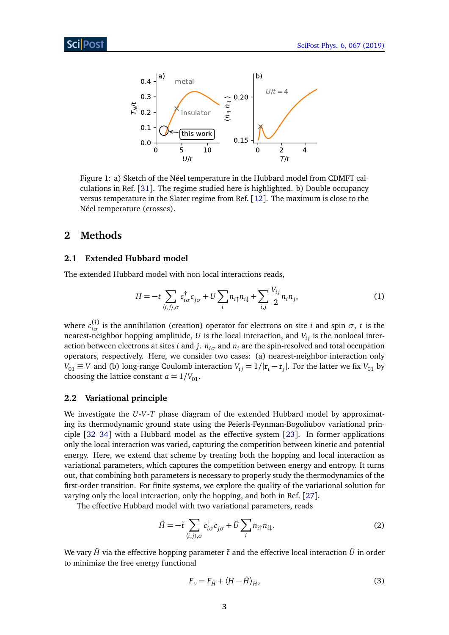<span id="page-2-3"></span>

Figure 1: a) Sketch of the Néel temperature in the Hubbard model from CDMFT calculations in Ref. [[31](#page-15-2)]. The regime studied here is highlighted. b) Double occupancy versus temperature in the Slater regime from Ref. [[12](#page-13-8)]. The maximum is close to the Néel temperature (crosses).

## <span id="page-2-0"></span>**2 Methods**

#### <span id="page-2-1"></span>**2.1 Extended Hubbard model**

The extended Hubbard model with non-local interactions reads,

$$
H = -t \sum_{\langle i,j \rangle,\sigma} c_{i\sigma}^{\dagger} c_{j\sigma} + U \sum_{i} n_{i\uparrow} n_{i\downarrow} + \sum_{i,j} \frac{V_{ij}}{2} n_{i} n_{j}, \tag{1}
$$

where  $c_{i\sigma}^{(\dagger)}$  $\frac{1}{i\sigma}$  is the annihilation (creation) operator for electrons on site *i* and spin *σ*, *t* is the nearest-neighbor hopping amplitude,  $U$  is the local interaction, and  $V_{ij}$  is the nonlocal interaction between electrons at sites *i* and *j*.  $n_{i\sigma}$  and  $n_i$  are the spin-resolved and total occupation operators, respectively. Here, we consider two cases: (a) nearest-neighbor interaction only  $V_{01} \equiv V$  and (b) long-range Coulomb interaction  $V_{ij} = 1/|\mathbf{r}_i - \mathbf{r}_j|$ . For the latter we fix  $V_{01}$  by choosing the lattice constant  $a = 1/V_{01}$ .

### <span id="page-2-2"></span>**2.2 Variational principle**

We investigate the *U*-*V*-*T* phase diagram of the extended Hubbard model by approximating its thermodynamic ground state using the Peierls-Feynman-Bogoliubov variational principle [[32–](#page-15-3)[34](#page-15-4)] with a Hubbard model as the effective system [[23](#page-14-4)]. In former applications only the local interaction was varied, capturing the competition between kinetic and potential energy. Here, we extend that scheme by treating both the hopping and local interaction as variational parameters, which captures the competition between energy and entropy. It turns out, that combining both parameters is necessary to properly study the thermodynamics of the first-order transition. For finite systems, we explore the quality of the variational solution for varying only the local interaction, only the hopping, and both in Ref. [[27](#page-14-7)].

The effective Hubbard model with two variational parameters, reads

$$
\tilde{H} = -\tilde{\iota} \sum_{\langle i,j \rangle,\sigma} c^{\dagger}_{i\sigma} c_{j\sigma} + \tilde{U} \sum_{i} n_{i\uparrow} n_{i\downarrow}.
$$
\n(2)

We vary  $\tilde{H}$  via the effective hopping parameter  $\tilde{t}$  and the effective local interaction  $\tilde{U}$  in order to minimize the free energy functional

<span id="page-2-4"></span>
$$
F_{\nu} = F_{\tilde{H}} + \langle H - \tilde{H} \rangle_{\tilde{H}},\tag{3}
$$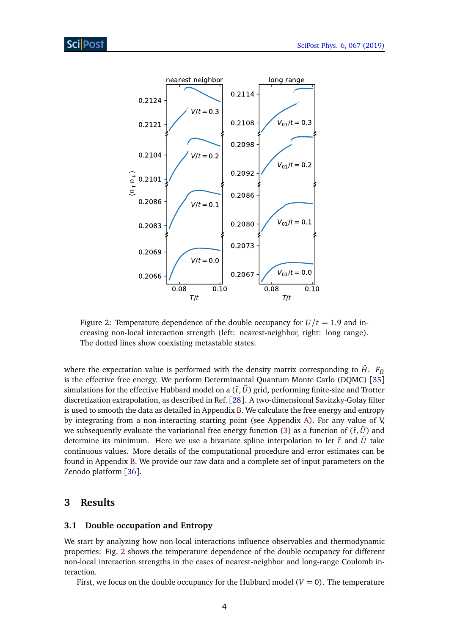<span id="page-3-2"></span>

Figure 2: Temperature dependence of the double occupancy for  $U/t = 1.9$  and increasing non-local interaction strength (left: nearest-neighbor, right: long range). The dotted lines show coexisting metastable states.

where the expectation value is performed with the density matrix corresponding to  $\tilde{H}$ .  $F_{\tilde{H}}$ is the effective free energy. We perform Determinantal Quantum Monte Carlo (DQMC) [[35](#page-15-5)] simulations for the effective Hubbard model on a  $(\tilde{t}, \tilde{U})$  grid, performing finite-size and Trotter discretization extrapolation, as described in Ref. [[28](#page-14-8)]. A two-dimensional Savitzky-Golay filter is used to smooth the data as detailed in Appendix [B.](#page-10-0) We calculate the free energy and entropy by integrating from a non-interacting starting point (see Appendix [A\)](#page-9-0). For any value of V, we subsequently evaluate the variational free energy function [\(3\)](#page-2-4) as a function of  $(\tilde{t}, \tilde{U})$  and determine its minimum. Here we use a bivariate spline interpolation to let  $\tilde{t}$  and  $\tilde{U}$  take continuous values. More details of the computational procedure and error estimates can be found in Appendix [B.](#page-10-0) We provide our raw data and a complete set of input parameters on the Zenodo platform [[36](#page-15-6)].

## <span id="page-3-0"></span>**3 Results**

### <span id="page-3-1"></span>**3.1 Double occupation and Entropy**

We start by analyzing how non-local interactions influence observables and thermodynamic properties: Fig. [2](#page-3-2) shows the temperature dependence of the double occupancy for different non-local interaction strengths in the cases of nearest-neighbor and long-range Coulomb interaction.

First, we focus on the double occupancy for the Hubbard model  $(V = 0)$ . The temperature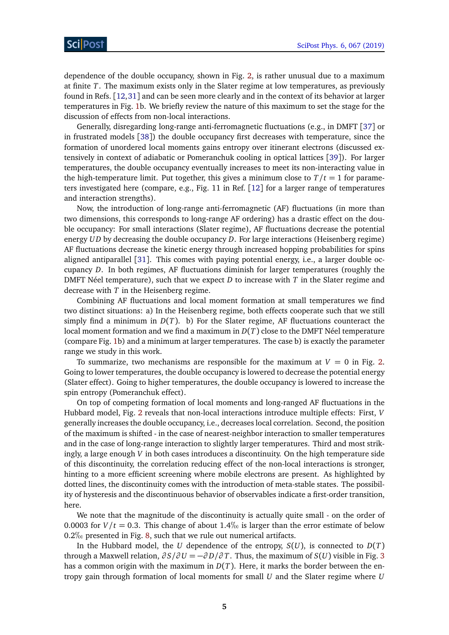dependence of the double occupancy, shown in Fig. [2,](#page-3-2) is rather unusual due to a maximum at finite *T*. The maximum exists only in the Slater regime at low temperatures, as previously found in Refs. [[12,](#page-13-8)[31](#page-15-2)] and can be seen more clearly and in the context of its behavior at larger temperatures in Fig. [1b](#page-2-3). We briefly review the nature of this maximum to set the stage for the discussion of effects from non-local interactions.

Generally, disregarding long-range anti-ferromagnetic fluctuations (e.g., in DMFT [[37](#page-15-7)] or in frustrated models [[38](#page-15-8)]) the double occupancy first decreases with temperature, since the formation of unordered local moments gains entropy over itinerant electrons (discussed extensively in context of adiabatic or Pomeranchuk cooling in optical lattices [[39](#page-15-9)]). For larger temperatures, the double occupancy eventually increases to meet its non-interacting value in the high-temperature limit. Put together, this gives a minimum close to  $T/t = 1$  for parameters investigated here (compare, e.g., Fig. 11 in Ref. [[12](#page-13-8)] for a larger range of temperatures and interaction strengths).

Now, the introduction of long-range anti-ferromagnetic (AF) fluctuations (in more than two dimensions, this corresponds to long-range AF ordering) has a drastic effect on the double occupancy: For small interactions (Slater regime), AF fluctuations decrease the potential energy *UD* by decreasing the double occupancy *D*. For large interactions (Heisenberg regime) AF fluctuations decrease the kinetic energy through increased hopping probabilities for spins aligned antiparallel [[31](#page-15-2)]. This comes with paying potential energy, i.e., a larger double occupancy *D*. In both regimes, AF fluctuations diminish for larger temperatures (roughly the DMFT Néel temperature), such that we expect *D* to increase with *T* in the Slater regime and decrease with *T* in the Heisenberg regime.

Combining AF fluctuations and local moment formation at small temperatures we find two distinct situations: a) In the Heisenberg regime, both effects cooperate such that we still simply find a minimum in  $D(T)$ . b) For the Slater regime, AF fluctuations counteract the local moment formation and we find a maximum in *D*(*T*) close to the DMFT Néel temperature (compare Fig. [1b](#page-2-3)) and a minimum at larger temperatures. The case b) is exactly the parameter range we study in this work.

To summarize, two mechanisms are responsible for the maximum at  $V = 0$  in Fig. [2.](#page-3-2) Going to lower temperatures, the double occupancy is lowered to decrease the potential energy (Slater effect). Going to higher temperatures, the double occupancy is lowered to increase the spin entropy (Pomeranchuk effect).

On top of competing formation of local moments and long-ranged AF fluctuations in the Hubbard model, Fig. [2](#page-3-2) reveals that non-local interactions introduce multiple effects: First, *V* generally increases the double occupancy, i.e., decreases local correlation. Second, the position of the maximum is shifted - in the case of nearest-neighbor interaction to smaller temperatures and in the case of long-range interaction to slightly larger temperatures. Third and most strikingly, a large enough *V* in both cases introduces a discontinuity. On the high temperature side of this discontinuity, the correlation reducing effect of the non-local interactions is stronger, hinting to a more efficient screening where mobile electrons are present. As highlighted by dotted lines, the discontinuity comes with the introduction of meta-stable states. The possibility of hysteresis and the discontinuous behavior of observables indicate a first-order transition, here.

We note that the magnitude of the discontinuity is actually quite small - on the order of 0.0003 for  $V/t = 0.3$ . This change of about 1.4\% is larger than the error estimate of below  $0.2\%$  presented in Fig. [8,](#page-12-2) such that we rule out numerical artifacts.

In the Hubbard model, the *U* dependence of the entropy,  $S(U)$ , is connected to  $D(T)$ through a Maxwell relation,  $\partial S/\partial U = -\partial D/\partial T$ . Thus, the maximum of  $S(U)$  visible in Fig. [3](#page-5-1) has a common origin with the maximum in  $D(T)$ . Here, it marks the border between the entropy gain through formation of local moments for small *U* and the Slater regime where *U*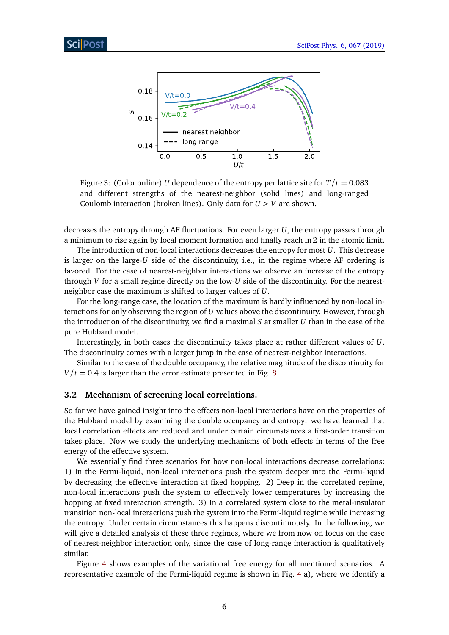<span id="page-5-1"></span>

Figure 3: (Color online) *U* dependence of the entropy per lattice site for  $T/t = 0.083$ and different strengths of the nearest-neighbor (solid lines) and long-ranged Coulomb interaction (broken lines). Only data for  $U > V$  are shown.

decreases the entropy through AF fluctuations. For even larger *U*, the entropy passes through a minimum to rise again by local moment formation and finally reach ln 2 in the atomic limit.

The introduction of non-local interactions decreases the entropy for most *U*. This decrease is larger on the large-*U* side of the discontinuity, i.e., in the regime where AF ordering is favored. For the case of nearest-neighbor interactions we observe an increase of the entropy through *V* for a small regime directly on the low-*U* side of the discontinuity. For the nearestneighbor case the maximum is shifted to larger values of *U*.

For the long-range case, the location of the maximum is hardly influenced by non-local interactions for only observing the region of *U* values above the discontinuity. However, through the introduction of the discontinuity, we find a maximal *S* at smaller *U* than in the case of the pure Hubbard model.

Interestingly, in both cases the discontinuity takes place at rather different values of *U*. The discontinuity comes with a larger jump in the case of nearest-neighbor interactions.

Similar to the case of the double occupancy, the relative magnitude of the discontinuity for  $V/t = 0.4$  is larger than the error estimate presented in Fig. [8.](#page-12-2)

### <span id="page-5-0"></span>**3.2 Mechanism of screening local correlations.**

So far we have gained insight into the effects non-local interactions have on the properties of the Hubbard model by examining the double occupancy and entropy: we have learned that local correlation effects are reduced and under certain circumstances a first-order transition takes place. Now we study the underlying mechanisms of both effects in terms of the free energy of the effective system.

We essentially find three scenarios for how non-local interactions decrease correlations: 1) In the Fermi-liquid, non-local interactions push the system deeper into the Fermi-liquid by decreasing the effective interaction at fixed hopping. 2) Deep in the correlated regime, non-local interactions push the system to effectively lower temperatures by increasing the hopping at fixed interaction strength. 3) In a correlated system close to the metal-insulator transition non-local interactions push the system into the Fermi-liquid regime while increasing the entropy. Under certain circumstances this happens discontinuously. In the following, we will give a detailed analysis of these three regimes, where we from now on focus on the case of nearest-neighbor interaction only, since the case of long-range interaction is qualitatively similar.

Figure [4](#page-6-0) shows examples of the variational free energy for all mentioned scenarios. A representative example of the Fermi-liquid regime is shown in Fig. [4](#page-6-0) a), where we identify a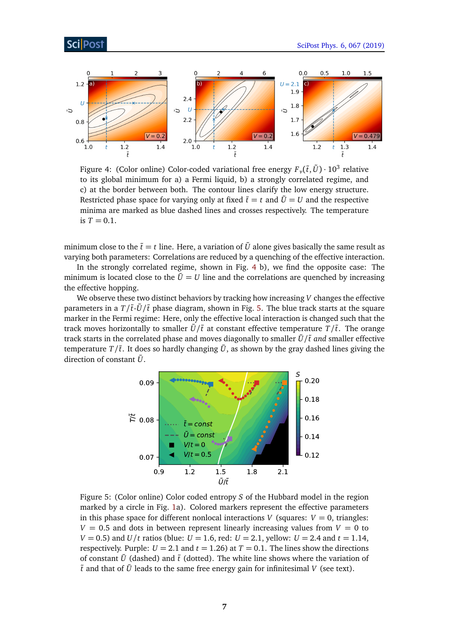<span id="page-6-0"></span>

Figure 4: (Color online) Color-coded variational free energy  $F_\nu(\tilde{t},\tilde{U})\cdot 10^3$  relative to its global minimum for a) a Fermi liquid, b) a strongly correlated regime, and c) at the border between both. The contour lines clarify the low energy structure. Restricted phase space for varying only at fixed  $\tilde{t} = t$  and  $\tilde{U} = U$  and the respective minima are marked as blue dashed lines and crosses respectively. The temperature is  $T = 0.1$ .

minimum close to the  $\tilde{t} = t$  line. Here, a variation of  $\tilde{U}$  alone gives basically the same result as varying both parameters: Correlations are reduced by a quenching of the effective interaction.

In the strongly correlated regime, shown in Fig. [4](#page-6-0) b), we find the opposite case: The minimum is located close to the  $\tilde{U} = U$  line and the correlations are quenched by increasing the effective hopping.

We observe these two distinct behaviors by tracking how increasing *V* changes the effective parameters in a  $T/\tilde{t}$ - $\tilde{U}/\tilde{t}$  phase diagram, shown in Fig. [5.](#page-6-1) The blue track starts at the square marker in the Fermi regime: Here, only the effective local interaction is changed such that the track moves horizontally to smaller  $\tilde{U}/\tilde{t}$  at constant effective temperature  $T/\tilde{t}$ . The orange track starts in the correlated phase and moves diagonally to smaller  $\tilde{U}/\tilde{t}$  *and* smaller effective temperature  $T/\tilde{t}$ . It does so hardly changing  $\tilde{U}$ , as shown by the gray dashed lines giving the direction of constant  $\tilde{U}$ .

<span id="page-6-1"></span>

Figure 5: (Color online) Color coded entropy *S* of the Hubbard model in the region marked by a circle in Fig. [1a](#page-2-3)). Colored markers represent the effective parameters in this phase space for different nonlocal interactions *V* (squares:  $V = 0$ , triangles:  $V = 0.5$  and dots in between represent linearly increasing values from  $V = 0$  to *V* = 0.5) and *U*/*t* ratios (blue: *U* = 1.6, red: *U* = 2.1, yellow: *U* = 2.4 and *t* = 1.14, respectively. Purple:  $U = 2.1$  and  $t = 1.26$ ) at  $T = 0.1$ . The lines show the directions of constant  $\tilde{U}$  (dashed) and  $\tilde{t}$  (dotted). The white line shows where the variation of  $\tilde{t}$  and that of  $\tilde{U}$  leads to the same free energy gain for infinitesimal V (see text).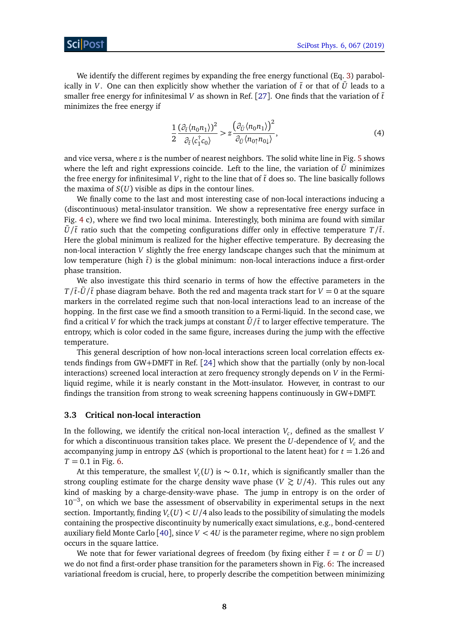We identify the different regimes by expanding the free energy functional (Eq. [3\)](#page-2-4) parabolically in *V*. One can then explicitly show whether the variation of  $\tilde{t}$  or that of  $\tilde{U}$  leads to a smaller free energy for infinitesimal  $V$  as shown in Ref. [[27](#page-14-7)]. One finds that the variation of  $\tilde{t}$ minimizes the free energy if

$$
\frac{1}{2} \frac{(\partial_{\tilde{t}} \langle n_0 n_1 \rangle)^2}{\partial_{\tilde{t}} \langle c_1^{\dagger} c_0 \rangle} > z \frac{(\partial_{\tilde{U}} \langle n_0 n_1 \rangle)^2}{\partial_{\tilde{U}} \langle n_0 n_0 \rangle},\tag{4}
$$

and vice versa, where *z* is the number of nearest neighbors. The solid white line in Fig. [5](#page-6-1) shows where the left and right expressions coincide. Left to the line, the variation of  $\tilde{U}$  minimizes the free energy for infinitesimal  $V$ , right to the line that of  $\tilde{t}$  does so. The line basically follows the maxima of  $S(U)$  visible as dips in the contour lines.

We finally come to the last and most interesting case of non-local interactions inducing a (discontinuous) metal-insulator transition. We show a representative free energy surface in Fig. [4](#page-6-0) c), where we find two local minima. Interestingly, both minima are found with similar  $\tilde{U}/\tilde{t}$  ratio such that the competing configurations differ only in effective temperature  $T/\tilde{t}$ . Here the global minimum is realized for the higher effective temperature. By decreasing the non-local interaction *V* slightly the free energy landscape changes such that the minimum at low temperature (high  $\tilde{t}$ ) is the global minimum: non-local interactions induce a first-order phase transition.

We also investigate this third scenario in terms of how the effective parameters in the *T*/ $\tilde{t}$ - $\tilde{U}/\tilde{t}$  phase diagram behave. Both the red and magenta track start for *V* = 0 at the square markers in the correlated regime such that non-local interactions lead to an increase of the hopping. In the first case we find a smooth transition to a Fermi-liquid. In the second case, we find a critical *V* for which the track jumps at constant  $\tilde{U}/\tilde{t}$  to larger effective temperature. The entropy, which is color coded in the same figure, increases during the jump with the effective temperature.

This general description of how non-local interactions screen local correlation effects extends findings from GW+DMFT in Ref. [[24](#page-14-9)] which show that the partially (only by non-local interactions) screened local interaction at zero frequency strongly depends on *V* in the Fermiliquid regime, while it is nearly constant in the Mott-insulator. However, in contrast to our findings the transition from strong to weak screening happens continuously in GW+DMFT.

### <span id="page-7-0"></span>**3.3 Critical non-local interaction**

In the following, we identify the critical non-local interaction *V<sup>c</sup>* , defined as the smallest *V* for which a discontinuous transition takes place. We present the *U*-dependence of *V<sup>c</sup>* and the accompanying jump in entropy *∆S* (which is proportional to the latent heat) for *t* = 1.26 and  $T = 0.1$  in Fig. [6.](#page-8-2)

At this temperature, the smallest  $V_c(U)$  is  $\sim 0.1t$ , which is significantly smaller than the strong coupling estimate for the charge density wave phase ( $V \gtrsim U/4$ ). This rules out any kind of masking by a charge-density-wave phase. The jump in entropy is on the order of 10−<sup>3</sup> , on which we base the assessment of observability in experimental setups in the next section. Importantly, finding  $V_c(U) < U/4$  also leads to the possibility of simulating the models containing the prospective discontinuity by numerically exact simulations, e.g., bond-centered auxiliary field Monte Carlo  $[40]$  $[40]$  $[40]$ , since  $V < 4U$  is the parameter regime, where no sign problem occurs in the square lattice.

We note that for fewer variational degrees of freedom (by fixing either  $\tilde{t} = t$  or  $\tilde{U} = U$ ) we do not find a first-order phase transition for the parameters shown in Fig. [6:](#page-8-2) The increased variational freedom is crucial, here, to properly describe the competition between minimizing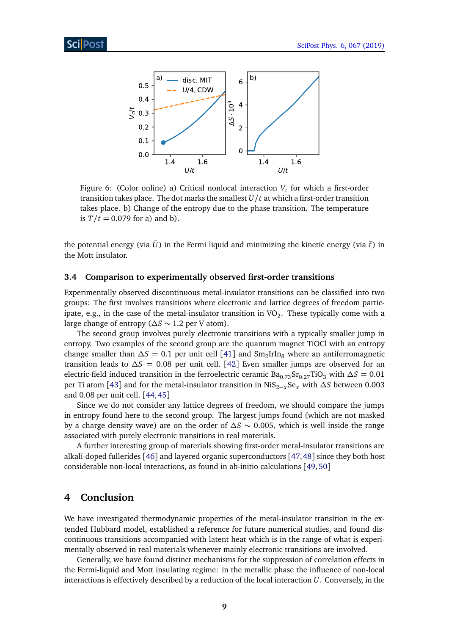<span id="page-8-2"></span>

Figure 6: (Color online) a) Critical nonlocal interaction *V<sup>c</sup>* for which a first-order transition takes place. The dot marks the smallest *U/t* at which a first-order transition takes place. b) Change of the entropy due to the phase transition. The temperature is  $T/t = 0.079$  for a) and b).

the potential energy (via  $\tilde{U}$ ) in the Fermi liquid and minimizing the kinetic energy (via  $\tilde{t}$ ) in the Mott insulator.

### <span id="page-8-0"></span>**3.4 Comparison to experimentally observed first-order transitions**

Experimentally observed discontinuous metal-insulator transitions can be classified into two groups: The first involves transitions where electronic and lattice degrees of freedom participate, e.g., in the case of the metal-insulator transition in  $\mathrm{VO}_2.$  These typically come with a large change of entropy (*∆S* ∼ 1.2 per V atom).

The second group involves purely electronic transitions with a typically smaller jump in entropy. Two examples of the second group are the quantum magnet TiOCl with an entropy change smaller than  $\Delta S = 0.1$  per unit cell [[41](#page-15-11)] and Sm<sub>2</sub>IrIn<sub>8</sub> where an antiferromagnetic transition leads to *∆S* = 0.08 per unit cell. [[42](#page-15-12)] Even smaller jumps are observed for an electric-field induced transition in the ferroelectric ceramic  $Ba_{0.73}Sr_{0.27}TiO_3$  with  $\Delta S = 0.01$ per Ti atom [[43](#page-15-13)] and for the metal-insulator transition in NiS<sub>2−*x*</sub>Se<sub>*x*</sub> with ∆*S* between 0.003 and 0.08 per unit cell. [[44,](#page-15-14)[45](#page-16-0)]

Since we do not consider any lattice degrees of freedom, we should compare the jumps in entropy found here to the second group. The largest jumps found (which are not masked by a charge density wave) are on the order of *∆S* ∼ 0.005, which is well inside the range associated with purely electronic transitions in real materials.

A further interesting group of materials showing first-order metal-insulator transitions are alkali-doped fullerides [[46](#page-16-1)] and layered organic superconductors [[47,](#page-16-2)[48](#page-16-3)] since they both host considerable non-local interactions, as found in ab-initio calculations [[49,](#page-16-4)[50](#page-16-5)]

### <span id="page-8-1"></span>**4 Conclusion**

We have investigated thermodynamic properties of the metal-insulator transition in the extended Hubbard model, established a reference for future numerical studies, and found discontinuous transitions accompanied with latent heat which is in the range of what is experimentally observed in real materials whenever mainly electronic transitions are involved.

Generally, we have found distinct mechanisms for the suppression of correlation effects in the Fermi-liquid and Mott insulating regime: in the metallic phase the influence of non-local interactions is effectively described by a reduction of the local interaction *U*. Conversely, in the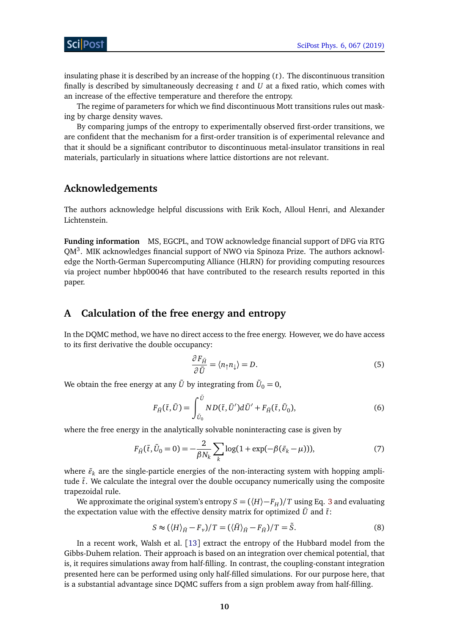insulating phase it is described by an increase of the hopping (*t*). The discontinuous transition finally is described by simultaneously decreasing *t* and *U* at a fixed ratio, which comes with an increase of the effective temperature and therefore the entropy.

The regime of parameters for which we find discontinuous Mott transitions rules out masking by charge density waves.

By comparing jumps of the entropy to experimentally observed first-order transitions, we are confident that the mechanism for a first-order transition is of experimental relevance and that it should be a significant contributor to discontinuous metal-insulator transitions in real materials, particularly in situations where lattice distortions are not relevant.

## **Acknowledgements**

The authors acknowledge helpful discussions with Erik Koch, Alloul Henri, and Alexander Lichtenstein.

**Funding information** MS, EGCPL, and TOW acknowledge financial support of DFG via RTG QM<sup>3</sup>. MIK acknowledges financial support of NWO via Spinoza Prize. The authors acknowledge the North-German Supercomputing Alliance (HLRN) for providing computing resources via project number hbp00046 that have contributed to the research results reported in this paper.

## <span id="page-9-0"></span>**A Calculation of the free energy and entropy**

In the DQMC method, we have no direct access to the free energy. However, we do have access to its first derivative the double occupancy:

<span id="page-9-1"></span>
$$
\frac{\partial F_{\tilde{H}}}{\partial \tilde{U}} = \langle n_{\uparrow} n_{\downarrow} \rangle = D. \tag{5}
$$

We obtain the free energy at any  $\tilde{U}$  by integrating from  $\tilde{U}_0 = 0,$ 

$$
F_{\tilde{H}}(\tilde{t},\tilde{U}) = \int_{\tilde{U}_0}^{\tilde{U}} ND(\tilde{t},\tilde{U}') d\tilde{U}' + F_{\tilde{H}}(\tilde{t},\tilde{U}_0),
$$
\n(6)

where the free energy in the analytically solvable noninteracting case is given by

$$
F_{\tilde{H}}(\tilde{t}, \tilde{U}_0 = 0) = -\frac{2}{\beta N_k} \sum_{k} \log(1 + \exp(-\beta(\tilde{\varepsilon}_k - \mu))), \tag{7}
$$

where  $\tilde{\varepsilon}_k$  are the single-particle energies of the non-interacting system with hopping amplitude ˜*t*. We calculate the integral over the double occupancy numerically using the composite trapezoidal rule.

We approximate the original system's entropy  $S = (\langle H \rangle - F_H)/T$  using Eq. [3](#page-2-4) and evaluating the expectation value with the effective density matrix for optimized  $\tilde{U}$  and  $\tilde{t}$ :

$$
S \approx (\langle H \rangle_{\tilde{H}} - F_{\nu})/T = (\langle \tilde{H} \rangle_{\tilde{H}} - F_{\tilde{H}})/T = \tilde{S}.
$$
 (8)

In a recent work, Walsh et al. [[13](#page-13-9)] extract the entropy of the Hubbard model from the Gibbs-Duhem relation. Their approach is based on an integration over chemical potential, that is, it requires simulations away from half-filling. In contrast, the coupling-constant integration presented here can be performed using only half-filled simulations. For our purpose here, that is a substantial advantage since DQMC suffers from a sign problem away from half-filling.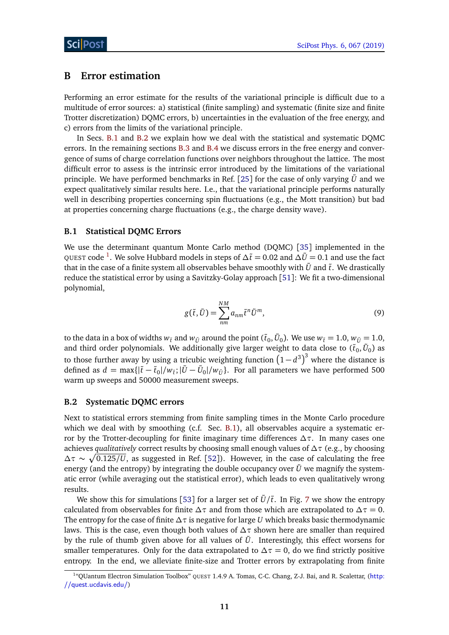### <span id="page-10-0"></span>**B Error estimation**

Performing an error estimate for the results of the variational principle is difficult due to a multitude of error sources: a) statistical (finite sampling) and systematic (finite size and finite Trotter discretization) DQMC errors, b) uncertainties in the evaluation of the free energy, and c) errors from the limits of the variational principle.

In Secs. [B.1](#page-10-1) and [B.2](#page-10-2) we explain how we deal with the statistical and systematic DQMC errors. In the remaining sections [B.3](#page-11-0) and [B.4](#page-12-1) we discuss errors in the free energy and convergence of sums of charge correlation functions over neighbors throughout the lattice. The most difficult error to assess is the intrinsic error introduced by the limitations of the variational principle. We have performed benchmarks in Ref. [[25](#page-14-5)] for the case of only varying  $\tilde{U}$  and we expect qualitatively similar results here. I.e., that the variational principle performs naturally well in describing properties concerning spin fluctuations (e.g., the Mott transition) but bad at properties concerning charge fluctuations (e.g., the charge density wave).

### <span id="page-10-1"></span>**B.1 Statistical DQMC Errors**

We use the determinant quantum Monte Carlo method (DQMC) [[35](#page-15-5)] implemented in the QUEST code [1](#page-10-3) . We solve Hubbard models in steps of *∆*˜*t* = 0.02 and *∆U*˜ = 0.1 and use the fact that in the case of a finite system all observables behave smoothly with  $\tilde{U}$  and  $\tilde{t}$ . We drastically reduce the statistical error by using a Savitzky-Golay approach [[51](#page-16-6)]: We fit a two-dimensional polynomial,

$$
g(\tilde{t}, \tilde{U}) = \sum_{nm}^{NM} a_{nm} \tilde{t}^n \tilde{U}^m,
$$
\n(9)

to the data in a box of widths  $w_{\tilde{t}}$  and  $w_{\tilde{U}}$  around the point ( $\tilde{t}_0, \tilde{U}_0$ ). We use  $w_{\tilde{t}} = 1.0$ ,  $w_{\tilde{U}} = 1.0$ , and third order polynomials. We additionally give larger weight to data close to  $(\tilde{t}_0, \tilde{U}_0)$  as to those further away by using a tricubic weighting function  $\left(1-d^3\right)^3$  where the distance is defined as  $d = \max\{|\tilde{t} - \tilde{t}_0|/w_{\tilde{t}}; |\tilde{U} - \tilde{U}_0|/w_{\tilde{U}}\}$ . For all parameters we have performed 500 warm up sweeps and 50000 measurement sweeps.

### <span id="page-10-2"></span>**B.2 Systematic DQMC errors**

Next to statistical errors stemming from finite sampling times in the Monte Carlo procedure which we deal with by smoothing (c.f. Sec. [B.1\)](#page-10-1), all observables acquire a systematic error by the Trotter-decoupling for finite imaginary time differences *∆τ*. In many cases one achieves *qualitatively* correct results by choosing small enough values of *∆τ* (e.g., by choosing  $\Delta \tau \sim \sqrt{0.125/U}$ , as suggested in Ref. [[52](#page-16-7)]). However, in the case of calculating the free energy (and the entropy) by integrating the double occupancy over  $\tilde{U}$  we magnify the systematic error (while averaging out the statistical error), which leads to even qualitatively wrong results.

We show this for simulations [[53](#page-16-8)] for a larger set of  $\tilde{U}/\tilde{t}$ . In Fig. [7](#page-11-1) we show the entropy calculated from observables for finite  $\Delta \tau$  and from those which are extrapolated to  $\Delta \tau = 0$ . The entropy for the case of finite *∆τ* is negative for large *U* which breaks basic thermodynamic laws. This is the case, even though both values of *∆τ* shown here are smaller than required by the rule of thumb given above for all values of  $\tilde{U}$ . Interestingly, this effect worsens for smaller temperatures. Only for the data extrapolated to  $\Delta \tau = 0$ , do we find strictly positive entropy. In the end, we alleviate finite-size and Trotter errors by extrapolating from finite

<span id="page-10-3"></span><sup>&</sup>lt;sup>1</sup>"QUantum Electron Simulation Toolbox" QUEST 1.4.9 A. Tomas, C-C. Chang, Z-J. Bai, and R. Scalettar, ([http:](http://quest.ucdavis.edu/) [//quest.ucdavis.edu/](http://quest.ucdavis.edu/))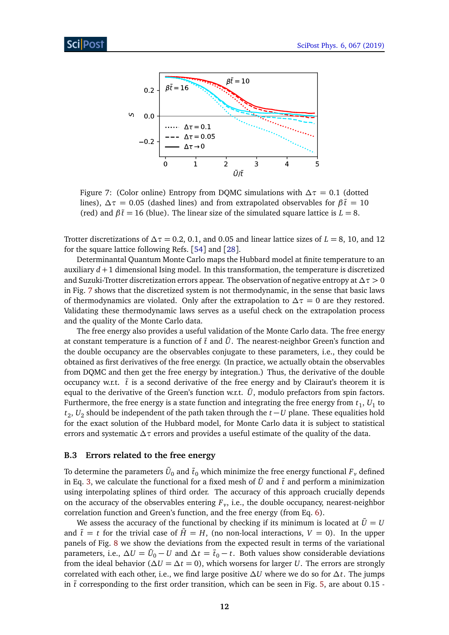<span id="page-11-1"></span>

Figure 7: (Color online) Entropy from DQMC simulations with  $\Delta \tau = 0.1$  (dotted lines),  $\Delta \tau = 0.05$  (dashed lines) and from extrapolated observables for  $\beta \tilde{t} = 10$ (red) and  $\beta \tilde{t} = 16$  (blue). The linear size of the simulated square lattice is  $L = 8$ .

Trotter discretizations of  $\Delta \tau = 0.2$ , 0.1, and 0.05 and linear lattice sizes of  $L = 8$ , 10, and 12 for the square lattice following Refs. [[54](#page-16-9)] and [[28](#page-14-8)].

Determinantal Quantum Monte Carlo maps the Hubbard model at finite temperature to an auxiliary  $d+1$  dimensional Ising model. In this transformation, the temperature is discretized and Suzuki-Trotter discretization errors appear. The observation of negative entropy at *∆τ >* 0 in Fig. [7](#page-11-1) shows that the discretized system is not thermodynamic, in the sense that basic laws of thermodynamics are violated. Only after the extrapolation to  $\Delta \tau = 0$  are they restored. Validating these thermodynamic laws serves as a useful check on the extrapolation process and the quality of the Monte Carlo data.

The free energy also provides a useful validation of the Monte Carlo data. The free energy at constant temperature is a function of  $\tilde{t}$  and  $\tilde{U}$ . The nearest-neighbor Green's function and the double occupancy are the observables conjugate to these parameters, i.e., they could be obtained as first derivatives of the free energy. (In practice, we actually obtain the observables from DQMC and then get the free energy by integration.) Thus, the derivative of the double occupancy w.r.t.  $\tilde{t}$  is a second derivative of the free energy and by Clairaut's theorem it is equal to the derivative of the Green's function w.r.t.  $\tilde{U}$ , modulo prefactors from spin factors. Furthermore, the free energy is a state function and integrating the free energy from  $t_1$ ,  $U_1$  to *t*<sub>2</sub>, *U*<sub>2</sub> should be independent of the path taken through the *t* − *U* plane. These equalities hold for the exact solution of the Hubbard model, for Monte Carlo data it is subject to statistical errors and systematic *∆τ* errors and provides a useful estimate of the quality of the data.

### <span id="page-11-0"></span>**B.3 Errors related to the free energy**

To determine the parameters  $\tilde{U}_0$  and  $\tilde{t}_0$  which minimize the free energy functional  ${F}_\nu$  defined in Eq. [3,](#page-2-4) we calculate the functional for a fixed mesh of  $\tilde{U}$  and  $\tilde{t}$  and perform a minimization using interpolating splines of third order. The accuracy of this approach crucially depends on the accuracy of the observables entering *F<sup>ν</sup>* , i.e., the double occupancy, nearest-neighbor correlation function and Green's function, and the free energy (from Eq. [6\)](#page-9-1).

We assess the accuracy of the functional by checking if its minimum is located at  $\tilde{U} = U$ and  $\tilde{t} = t$  for the trivial case of  $\tilde{H} = H$ , (no non-local interactions,  $V = 0$ ). In the upper panels of Fig. [8](#page-12-2) we show the deviations from the expected result in terms of the variational parameters, i.e.,  $\Delta U = \tilde{U}_0 - U$  and  $\Delta t = \tilde{t}_0 - t$ . Both values show considerable deviations from the ideal behavior ( $\Delta U = \Delta t = 0$ ), which worsens for larger *U*. The errors are strongly correlated with each other, i.e., we find large positive *∆U* where we do so for *∆t*. The jumps in  $\tilde{t}$  corresponding to the first order transition, which can be seen in Fig. [5,](#page-6-1) are about 0.15 -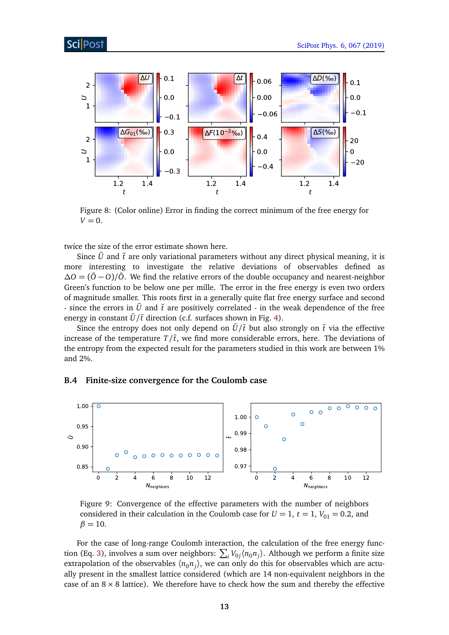<span id="page-12-2"></span>

Figure 8: (Color online) Error in finding the correct minimum of the free energy for  $V = 0$ .

twice the size of the error estimate shown here.

Since  $\tilde{U}$  and  $\tilde{t}$  are only variational parameters without any direct physical meaning, it is more interesting to investigate the relative deviations of observables defined as *∆O* =  $(\tilde{O}$  − *O*)/ $\tilde{O}$ . We find the relative errors of the double occupancy and nearest-neighbor Green's function to be below one per mille. The error in the free energy is even two orders of magnitude smaller. This roots first in a generally quite flat free energy surface and second - since the errors in  $\tilde{U}$  and  $\tilde{t}$  are positively correlated - in the weak dependence of the free energy in constant  $\tilde{U}/\tilde{t}$  direction (c.f. surfaces shown in Fig. [4\)](#page-6-0).

Since the entropy does not only depend on  $\tilde{U}/\tilde{t}$  but also strongly on  $\tilde{t}$  via the effective increase of the temperature  $T/\tilde{t}$ , we find more considerable errors, here. The deviations of the entropy from the expected result for the parameters studied in this work are between 1% and 2%.

### <span id="page-12-0"></span>**B.4 Finite-size convergence for the Coulomb case**

<span id="page-12-1"></span>

Figure 9: Convergence of the effective parameters with the number of neighbors considered in their calculation in the Coulomb case for  $U = 1$ ,  $t = 1$ ,  $V_{01} = 0.2$ , and  $\beta = 10$ .

For the case of long-range Coulomb interaction, the calculation of the free energy func-tion (Eq. [3\)](#page-2-4), involves a sum over neighbors:  $\sum_i V_{0j} \langle n_0 n_j \rangle$ . Although we perform a finite size extrapolation of the observables  $\langle n_0 n_j \rangle$ , we can only do this for observables which are actually present in the smallest lattice considered (which are 14 non-equivalent neighbors in the case of an  $8 \times 8$  lattice). We therefore have to check how the sum and thereby the effective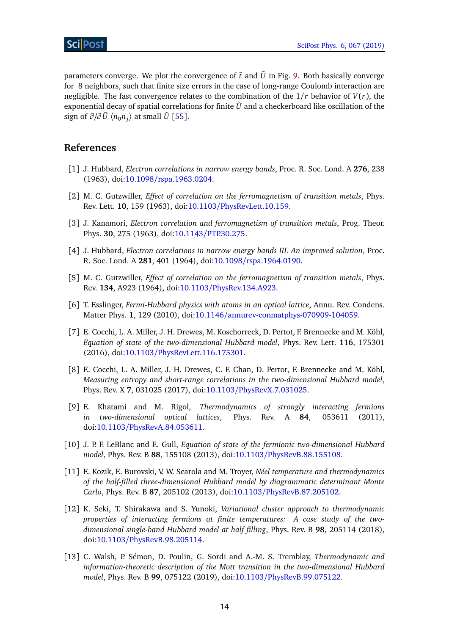parameters converge. We plot the convergence of  $\tilde{t}$  and  $\tilde{U}$  in Fig. [9.](#page-12-1) Both basically converge for 8 neighbors, such that finite size errors in the case of long-range Coulomb interaction are negligible. The fast convergence relates to the combination of the  $1/r$  behavior of  $V(r)$ , the exponential decay of spatial correlations for finite  $\tilde{U}$  and a checkerboard like oscillation of the  $\text{sign of } \partial/\partial\, \tilde U \; \langle n_0 n_j \rangle \; \text{at small } \tilde U \; [55].$  $\text{sign of } \partial/\partial\, \tilde U \; \langle n_0 n_j \rangle \; \text{at small } \tilde U \; [55].$  $\text{sign of } \partial/\partial\, \tilde U \; \langle n_0 n_j \rangle \; \text{at small } \tilde U \; [55].$ 

## **References**

- <span id="page-13-0"></span>[1] J. Hubbard, *Electron correlations in narrow energy bands*, Proc. R. Soc. Lond. A **276**, 238 (1963), doi:10.1098/[rspa.1963.0204.](http://dx.doi.org/10.1098/rspa.1963.0204)
- [2] M. C. Gutzwiller, *Effect of correlation on the ferromagnetism of transition metals*, Phys. Rev. Lett. **10**, 159 (1963), doi:10.1103/[PhysRevLett.10.159.](http://dx.doi.org/10.1103/PhysRevLett.10.159)
- [3] J. Kanamori, *Electron correlation and ferromagnetism of transition metals*, Prog. Theor. Phys. **30**, 275 (1963), doi:10.1143/[PTP.30.275.](http://dx.doi.org/10.1143/PTP.30.275)
- [4] J. Hubbard, *Electron correlations in narrow energy bands III. An improved solution*, Proc. R. Soc. Lond. A **281**, 401 (1964), doi:10.1098/[rspa.1964.0190.](http://dx.doi.org/10.1098/rspa.1964.0190)
- <span id="page-13-1"></span>[5] M. C. Gutzwiller, *Effect of correlation on the ferromagnetism of transition metals*, Phys. Rev. **134**, A923 (1964), doi:10.1103/[PhysRev.134.A923.](http://dx.doi.org/10.1103/PhysRev.134.A923)
- <span id="page-13-2"></span>[6] T. Esslinger, *Fermi-Hubbard physics with atoms in an optical lattice*, Annu. Rev. Condens. Matter Phys. **1**, 129 (2010), doi:10.1146/[annurev-conmatphys-070909-104059.](http://dx.doi.org/10.1146/annurev-conmatphys-070909-104059)
- <span id="page-13-3"></span>[7] E. Cocchi, L. A. Miller, J. H. Drewes, M. Koschorreck, D. Pertot, F. Brennecke and M. Köhl, *Equation of state of the two-dimensional Hubbard model*, Phys. Rev. Lett. **116**, 175301 (2016), doi:10.1103/[PhysRevLett.116.175301.](http://dx.doi.org/10.1103/PhysRevLett.116.175301)
- <span id="page-13-4"></span>[8] E. Cocchi, L. A. Miller, J. H. Drewes, C. F. Chan, D. Pertot, F. Brennecke and M. Köhl, *Measuring entropy and short-range correlations in the two-dimensional Hubbard model*, Phys. Rev. X **7**, 031025 (2017), doi:10.1103/[PhysRevX.7.031025.](http://dx.doi.org/10.1103/PhysRevX.7.031025)
- <span id="page-13-5"></span>[9] E. Khatami and M. Rigol, *Thermodynamics of strongly interacting fermions in two-dimensional optical lattices*, Phys. Rev. A **84**, 053611 (2011), doi:10.1103/[PhysRevA.84.053611.](http://dx.doi.org/10.1103/PhysRevA.84.053611)
- <span id="page-13-6"></span>[10] J. P. F. LeBlanc and E. Gull, *Equation of state of the fermionic two-dimensional Hubbard model*, Phys. Rev. B **88**, 155108 (2013), doi:10.1103/[PhysRevB.88.155108.](http://dx.doi.org/10.1103/PhysRevB.88.155108)
- <span id="page-13-7"></span>[11] E. Kozik, E. Burovski, V. W. Scarola and M. Troyer, *Néel temperature and thermodynamics of the half-filled three-dimensional Hubbard model by diagrammatic determinant Monte Carlo*, Phys. Rev. B **87**, 205102 (2013), doi:10.1103/[PhysRevB.87.205102.](http://dx.doi.org/10.1103/PhysRevB.87.205102)
- <span id="page-13-8"></span>[12] K. Seki, T. Shirakawa and S. Yunoki, *Variational cluster approach to thermodynamic properties of interacting fermions at finite temperatures: A case study of the twodimensional single-band Hubbard model at half filling*, Phys. Rev. B **98**, 205114 (2018), doi:10.1103/[PhysRevB.98.205114.](http://dx.doi.org/10.1103/PhysRevB.98.205114)
- <span id="page-13-9"></span>[13] C. Walsh, P. Sémon, D. Poulin, G. Sordi and A.-M. S. Tremblay, *Thermodynamic and information-theoretic description of the Mott transition in the two-dimensional Hubbard model*, Phys. Rev. B **99**, 075122 (2019), doi:10.1103/[PhysRevB.99.075122.](http://dx.doi.org/10.1103/PhysRevB.99.075122)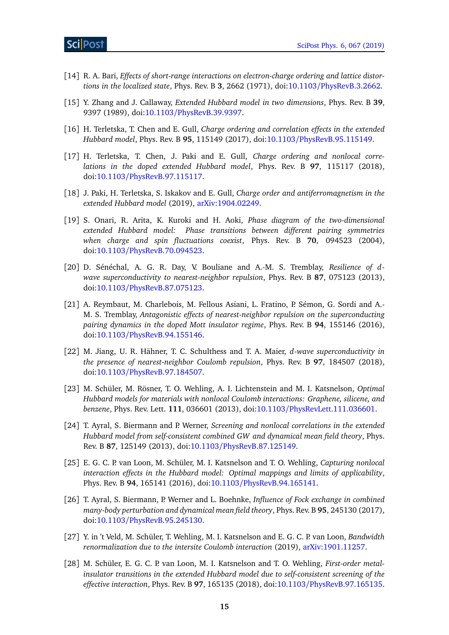- <span id="page-14-0"></span>[14] R. A. Bari, *Effects of short-range interactions on electron-charge ordering and lattice distortions in the localized state*, Phys. Rev. B **3**, 2662 (1971), doi:10.1103/[PhysRevB.3.2662.](http://dx.doi.org/10.1103/PhysRevB.3.2662)
- [15] Y. Zhang and J. Callaway, *Extended Hubbard model in two dimensions*, Phys. Rev. B **39**, 9397 (1989), doi:10.1103/[PhysRevB.39.9397.](http://dx.doi.org/10.1103/PhysRevB.39.9397)
- [16] H. Terletska, T. Chen and E. Gull, *Charge ordering and correlation effects in the extended Hubbard model*, Phys. Rev. B **95**, 115149 (2017), doi:10.1103/[PhysRevB.95.115149.](http://dx.doi.org/10.1103/PhysRevB.95.115149)
- [17] H. Terletska, T. Chen, J. Paki and E. Gull, *Charge ordering and nonlocal correlations in the doped extended Hubbard model*, Phys. Rev. B **97**, 115117 (2018), doi:10.1103/[PhysRevB.97.115117.](http://dx.doi.org/10.1103/PhysRevB.97.115117)
- <span id="page-14-1"></span>[18] J. Paki, H. Terletska, S. Iskakov and E. Gull, *Charge order and antiferromagnetism in the extended Hubbard model* (2019), [arXiv:1904.02249.](https://arxiv.org/abs/1904.02249)
- <span id="page-14-2"></span>[19] S. Onari, R. Arita, K. Kuroki and H. Aoki, *Phase diagram of the two-dimensional extended Hubbard model: Phase transitions between different pairing symmetries when charge and spin fluctuations coexist*, Phys. Rev. B **70**, 094523 (2004), doi:10.1103/[PhysRevB.70.094523.](http://dx.doi.org/10.1103/PhysRevB.70.094523)
- [20] D. Sénéchal, A. G. R. Day, V. Bouliane and A.-M. S. Tremblay, *Resilience of dwave superconductivity to nearest-neighbor repulsion*, Phys. Rev. B **87**, 075123 (2013), doi:10.1103/[PhysRevB.87.075123.](http://dx.doi.org/10.1103/PhysRevB.87.075123)
- [21] A. Reymbaut, M. Charlebois, M. Fellous Asiani, L. Fratino, P. Sémon, G. Sordi and A.- M. S. Tremblay, *Antagonistic effects of nearest-neighbor repulsion on the superconducting pairing dynamics in the doped Mott insulator regime*, Phys. Rev. B **94**, 155146 (2016), doi:10.1103/[PhysRevB.94.155146.](http://dx.doi.org/10.1103/PhysRevB.94.155146)
- <span id="page-14-3"></span>[22] M. Jiang, U. R. Hähner, T. C. Schulthess and T. A. Maier, *d-wave superconductivity in the presence of nearest-neighbor Coulomb repulsion*, Phys. Rev. B **97**, 184507 (2018), doi:10.1103/[PhysRevB.97.184507.](http://dx.doi.org/10.1103/PhysRevB.97.184507)
- <span id="page-14-4"></span>[23] M. Schüler, M. Rösner, T. O. Wehling, A. I. Lichtenstein and M. I. Katsnelson, *Optimal Hubbard models for materials with nonlocal Coulomb interactions: Graphene, silicene, and benzene*, Phys. Rev. Lett. **111**, 036601 (2013), doi:10.1103/[PhysRevLett.111.036601.](http://dx.doi.org/10.1103/PhysRevLett.111.036601)
- <span id="page-14-9"></span>[24] T. Ayral, S. Biermann and P. Werner, *Screening and nonlocal correlations in the extended Hubbard model from self-consistent combined GW and dynamical mean field theory*, Phys. Rev. B **87**, 125149 (2013), doi:10.1103/[PhysRevB.87.125149.](http://dx.doi.org/10.1103/PhysRevB.87.125149)
- <span id="page-14-5"></span>[25] E. G. C. P. van Loon, M. Schüler, M. I. Katsnelson and T. O. Wehling, *Capturing nonlocal interaction effects in the Hubbard model: Optimal mappings and limits of applicability*, Phys. Rev. B **94**, 165141 (2016), doi:10.1103/[PhysRevB.94.165141.](http://dx.doi.org/10.1103/PhysRevB.94.165141)
- <span id="page-14-6"></span>[26] T. Ayral, S. Biermann, P. Werner and L. Boehnke, *Influence of Fock exchange in combined many-body perturbation and dynamical mean field theory*, Phys. Rev. B **95**, 245130 (2017), doi:10.1103/[PhysRevB.95.245130.](http://dx.doi.org/10.1103/PhysRevB.95.245130)
- <span id="page-14-7"></span>[27] Y. in 't Veld, M. Schüler, T. Wehling, M. I. Katsnelson and E. G. C. P. van Loon, *Bandwidth renormalization due to the intersite Coulomb interaction* (2019), [arXiv:1901.11257.](https://arxiv.org/abs/1901.11257)
- <span id="page-14-8"></span>[28] M. Schüler, E. G. C. P. van Loon, M. I. Katsnelson and T. O. Wehling, *First-order metalinsulator transitions in the extended Hubbard model due to self-consistent screening of the effective interaction*, Phys. Rev. B **97**, 165135 (2018), doi:10.1103/[PhysRevB.97.165135.](http://dx.doi.org/10.1103/PhysRevB.97.165135)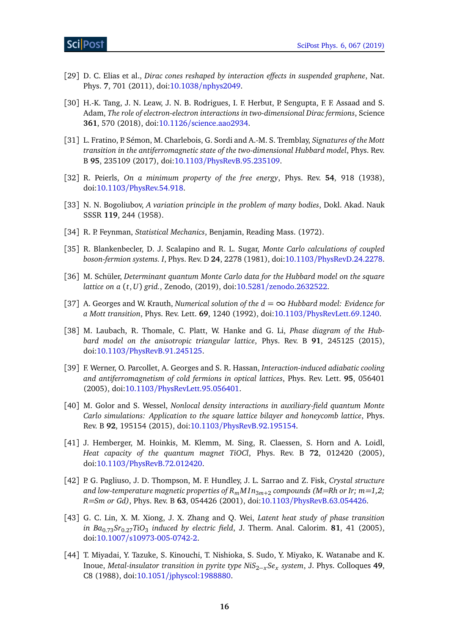- <span id="page-15-0"></span>[29] D. C. Elias et al., *Dirac cones reshaped by interaction effects in suspended graphene*, Nat. Phys. **7**, 701 (2011), doi:10.1038/[nphys2049.](http://dx.doi.org/10.1038/nphys2049)
- <span id="page-15-1"></span>[30] H.-K. Tang, J. N. Leaw, J. N. B. Rodrigues, I. F. Herbut, P. Sengupta, F. F. Assaad and S. Adam, *The role of electron-electron interactions in two-dimensional Dirac fermions*, Science **361**, 570 (2018), doi:10.1126/[science.aao2934.](http://dx.doi.org/10.1126/science.aao2934)
- <span id="page-15-2"></span>[31] L. Fratino, P. Sémon, M. Charlebois, G. Sordi and A.-M. S. Tremblay, *Signatures of the Mott transition in the antiferromagnetic state of the two-dimensional Hubbard model*, Phys. Rev. B **95**, 235109 (2017), doi:10.1103/[PhysRevB.95.235109.](http://dx.doi.org/10.1103/PhysRevB.95.235109)
- <span id="page-15-3"></span>[32] R. Peierls, *On a minimum property of the free energy*, Phys. Rev. **54**, 918 (1938), doi:10.1103/[PhysRev.54.918.](http://dx.doi.org/10.1103/PhysRev.54.918)
- [33] N. N. Bogoliubov, *A variation principle in the problem of many bodies*, Dokl. Akad. Nauk SSSR **119**, 244 (1958).
- <span id="page-15-4"></span>[34] R. P. Feynman, *Statistical Mechanics*, Benjamin, Reading Mass. (1972).
- <span id="page-15-5"></span>[35] R. Blankenbecler, D. J. Scalapino and R. L. Sugar, *Monte Carlo calculations of coupled boson-fermion systems. I*, Phys. Rev. D **24**, 2278 (1981), doi:10.1103/[PhysRevD.24.2278.](http://dx.doi.org/10.1103/PhysRevD.24.2278)
- <span id="page-15-6"></span>[36] M. Schüler, *Determinant quantum Monte Carlo data for the Hubbard model on the square lattice on a* (*t*,*U*) *grid.*, Zenodo, (2019), doi:10.5281/[zenodo.2632522.](http://dx.doi.org/10.5281/zenodo.2632522)
- <span id="page-15-7"></span>[37] A. Georges and W. Krauth, *Numerical solution of the d* = ∞ *Hubbard model: Evidence for a Mott transition*, Phys. Rev. Lett. **69**, 1240 (1992), doi:10.1103/[PhysRevLett.69.1240.](http://dx.doi.org/10.1103/PhysRevLett.69.1240)
- <span id="page-15-8"></span>[38] M. Laubach, R. Thomale, C. Platt, W. Hanke and G. Li, *Phase diagram of the Hubbard model on the anisotropic triangular lattice*, Phys. Rev. B **91**, 245125 (2015), doi:10.1103/[PhysRevB.91.245125.](http://dx.doi.org/10.1103/PhysRevB.91.245125)
- <span id="page-15-9"></span>[39] F. Werner, O. Parcollet, A. Georges and S. R. Hassan, *Interaction-induced adiabatic cooling and antiferromagnetism of cold fermions in optical lattices*, Phys. Rev. Lett. **95**, 056401 (2005), doi:10.1103/[PhysRevLett.95.056401.](http://dx.doi.org/10.1103/PhysRevLett.95.056401)
- <span id="page-15-10"></span>[40] M. Golor and S. Wessel, *Nonlocal density interactions in auxiliary-field quantum Monte Carlo simulations: Application to the square lattice bilayer and honeycomb lattice*, Phys. Rev. B **92**, 195154 (2015), doi:10.1103/[PhysRevB.92.195154.](http://dx.doi.org/10.1103/PhysRevB.92.195154)
- <span id="page-15-11"></span>[41] J. Hemberger, M. Hoinkis, M. Klemm, M. Sing, R. Claessen, S. Horn and A. Loidl, *Heat capacity of the quantum magnet TiOCl*, Phys. Rev. B **72**, 012420 (2005), doi:10.1103/[PhysRevB.72.012420.](http://dx.doi.org/10.1103/PhysRevB.72.012420)
- <span id="page-15-12"></span>[42] P. G. Pagliuso, J. D. Thompson, M. F. Hundley, J. L. Sarrao and Z. Fisk, *Crystal structure and low-temperature magnetic properties of RmM I n*3*m*+<sup>2</sup> *compounds (M=Rh or Ir; m=1,2; R=Sm or Gd)*, Phys. Rev. B **63**, 054426 (2001), doi:10.1103/[PhysRevB.63.054426.](http://dx.doi.org/10.1103/PhysRevB.63.054426)
- <span id="page-15-13"></span>[43] G. C. Lin, X. M. Xiong, J. X. Zhang and Q. Wei, *Latent heat study of phase transition in Ba* $_{0.73}$ *Sr* $_{0.27}$ *TiO* $_3$  *induced by electric field, J. Therm. Anal. Calorim. 81, 41 (2005),* doi:10.1007/[s10973-005-0742-2.](http://dx.doi.org/10.1007/s10973-005-0742-2)
- <span id="page-15-14"></span>[44] T. Miyadai, Y. Tazuke, S. Kinouchi, T. Nishioka, S. Sudo, Y. Miyako, K. Watanabe and K. Inoue, *Metal-insulator transition in pyrite type NiS*2−*xSe<sup>x</sup> system*, J. Phys. Colloques **49**, C8 (1988), doi:10.1051/[jphyscol:1988880.](http://dx.doi.org/10.1051/jphyscol:1988880)